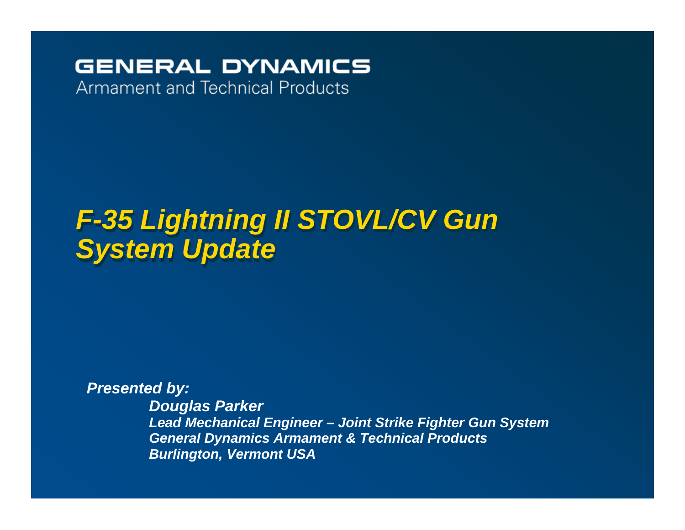### **GENERAL DYNAMICS**

**Armament and Technical Products** 

## *F-35 Lightning II STOVL/CV Gun F-35 Lightning II STOVL/CV Gun System Update System Update*

*Presented by: Douglas Parker Lead Mechanical Engineer – Joint Strike Fighter Gun System General Dynamics Armament & Technical Products Burlington, Vermont USA*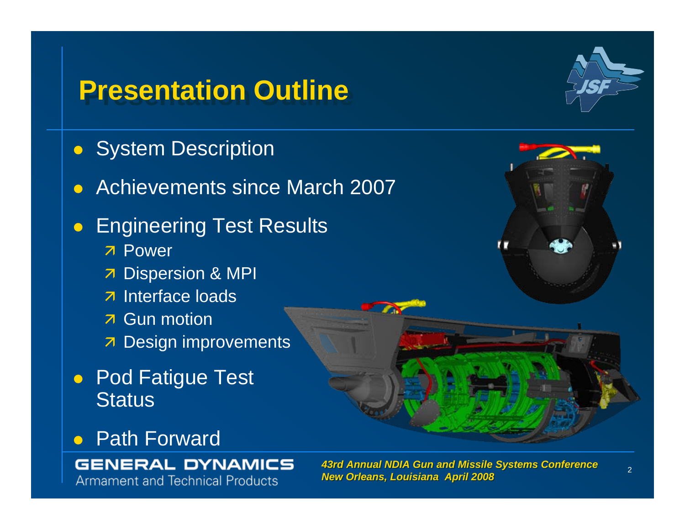## **Presentation Outline Presentation Outline**

- **System Description**
- Achievements since March 2007
- $\bullet$  Engineering Test Results
	- **7 Power**
	- **7** Dispersion & MPI
	- $\overline{z}$  Interface loads
	- **7** Gun motion
	- **7** Design improvements
- Pod Fatigue Test **Status**

### $\bullet$ Path Forward

### **GENERAL DYNAMICS**

**Armament and Technical Products** 

 *43rd Annual NDIA Gun and Missile Systems Conference 43rd Annual NDIA Gun and Missile Systems Conference New Orleans, Louisiana April 2008 New Orleans, Louisiana April 2008*

**TAX** 



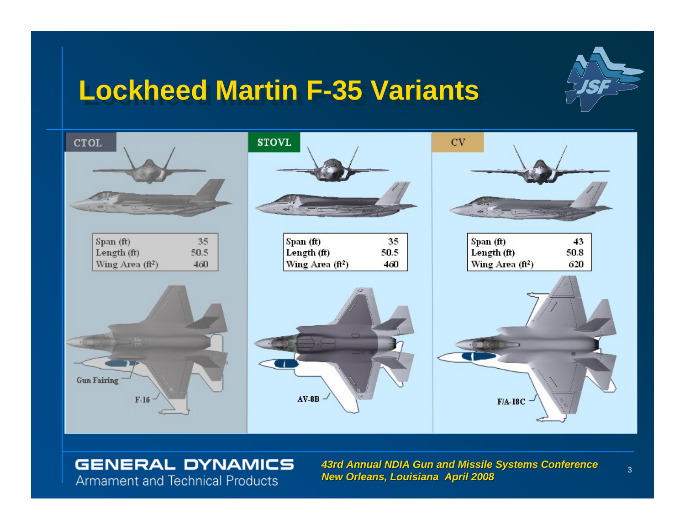## **Lockheed Martin F-35 Variants Lockheed Martin F-35 Variants**





### **GENERAL DYNAMICS Armament and Technical Products**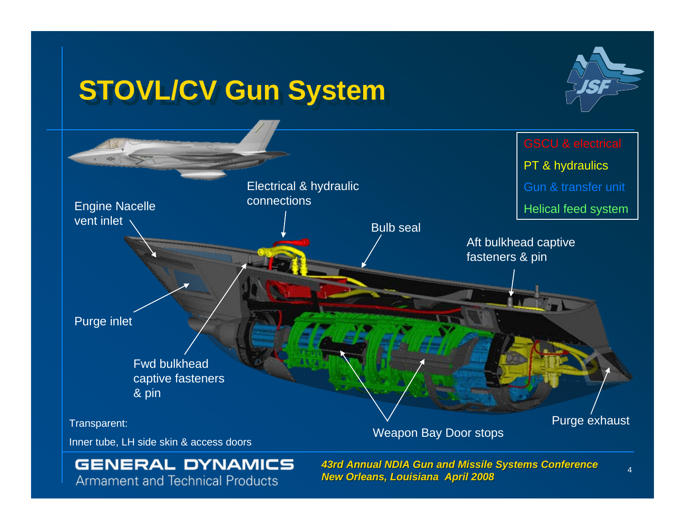## **STOVL/CV Gun System STOVL/CV Gun System**





### **GENERAL DYNAMICS Armament and Technical Products**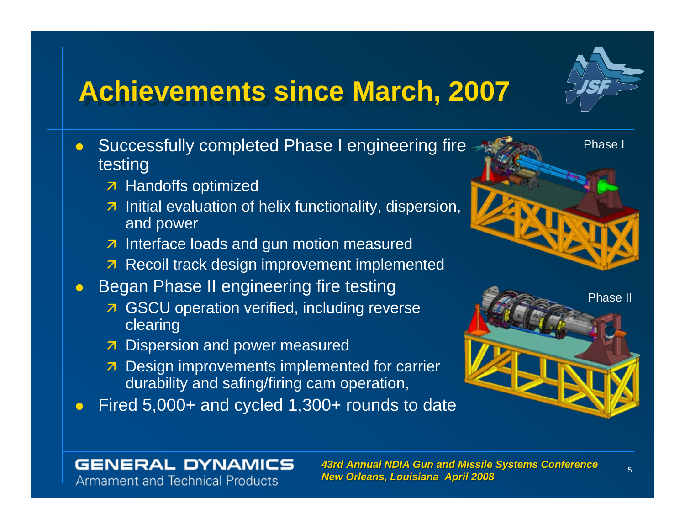## **Achievements since March, 2007 Achievements since March, 2007**

- $\bullet$  Successfully completed Phase I engineering fire testing
	- 7 Handoffs optimized

**GENERAL DYNAMICS Armament and Technical Products** 

- $\overline{z}$  Initial evaluation of helix functionality, dispersion, and power
- $\overline{z}$  Interface loads and gun motion measured
- **7** Recoil track design improvement implemented
- $\bullet$  Began Phase II engineering fire testing
	- **7** GSCU operation verified, including reverse clearing
	- **7** Dispersion and power measured
	- $\overline{z}$  Design improvements implemented for carrier durability and safing/firing cam operation,
- $\bullet$ Fired 5,000+ and cycled 1,300+ rounds to date

#### *43rd Annual NDIA Gun and Missile Systems Conference 43rd Annual NDIA Gun and Missile Systems Conference New Orleans, Louisiana April 2008 New Orleans, Louisiana April 2008*



Phase I

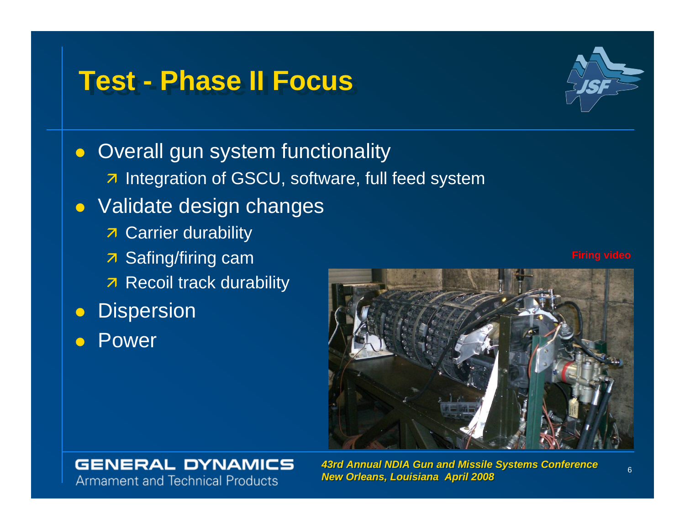## **Test - Phase II Focus Test - Phase II Focus**



• Overall gun system functionality **Z** Integration of GSCU, software, full feed system  $\bullet$  Validate design changes **7** Carrier durability 7 Safing/firing cam  $\overline{\mathcal{A}}$  Recoil track durability  $\bullet$ **Dispersion**  $\bullet$ Power



### **GENERAL DYNAMICS Armament and Technical Products**

 *43rd Annual NDIA Gun and Missile Systems Conference 43rd Annual NDIA Gun and Missile Systems Conference New Orleans, Louisiana April 2008 New Orleans, Louisiana April 2008*

**Firing video**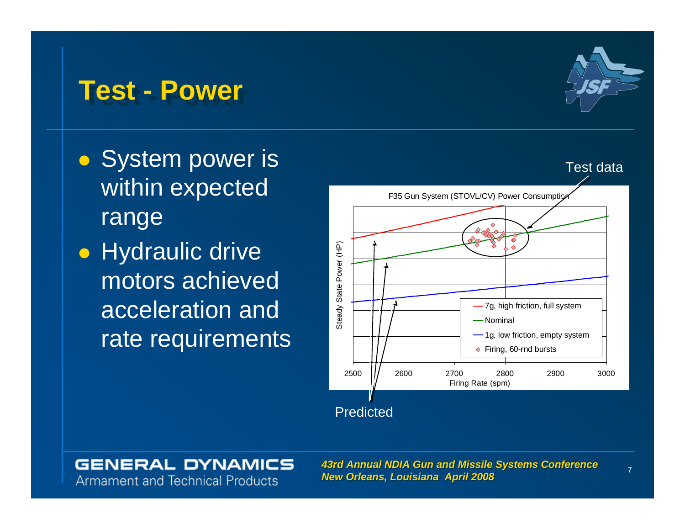

• System power is within expected range

 $\bullet$  Hydraulic drive motors achieved acceleration and rate requirements

## **Test - Power Test - Power**



#### *43rd Annual NDIA Gun and Missile Systems Conference 43rd Annual NDIA Gun and Missile Systems Conference New Orleans, Louisiana April 2008 New Orleans, Louisiana April 2008*

**Armament and Technical Products** 

**GENERAL DYNAMICS** 

7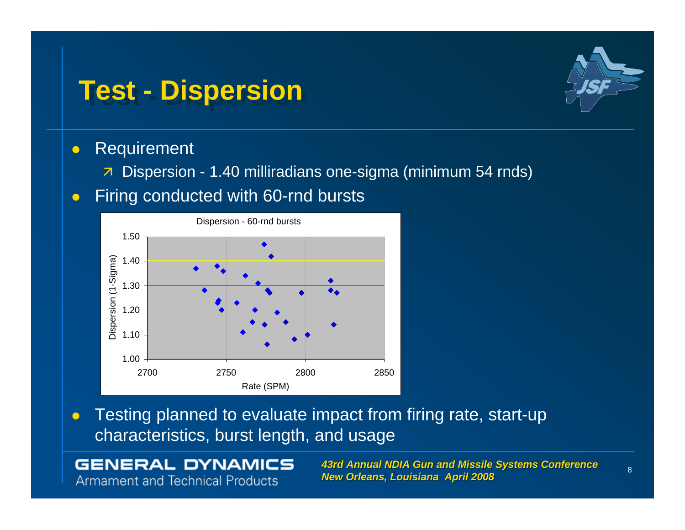## **Test - Dispersion Test - Dispersion**



#### $\bullet$ Requirement

- $\overline{\mathbf{z}}$ Dispersion - 1.40 milliradians one-sigma (minimum 54 rnds)
- $\bullet$ Firing conducted with 60-rnd bursts



 $\bullet$  Testing planned to evaluate impact from firing rate, start-up characteristics, burst length, and usage

### **GENERAL DYNAMICS Armament and Technical Products**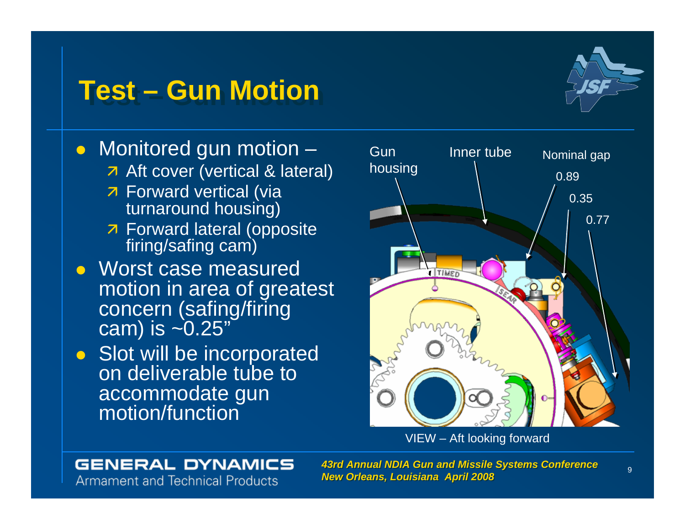## **Test – Gun Motion Test – Gun Motion**



• Monitored gun motion –

- 7 Aft cover (vertical & lateral)
- **7 Forward vertical (via** turnaround housing)
- **7 Forward lateral (opposite** firing/safing cam)
- Worst case measured motion in area of greatest concern (safing/firing cam) is ~0.25"
- Slot will be incorporated on deliverable tube to accommodate gun motion/function



VIEW – Aft looking forward

### **GENERAL DYNAMICS**

**Armament and Technical Products**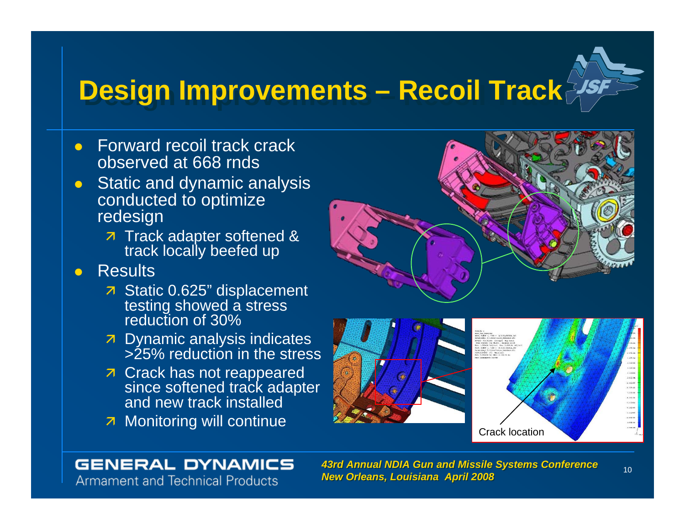## **Design Improvements – Recoil Track**

- $\bullet$  Forward recoil track crack observed at 668 rnds
- $\bullet$  Static and dynamic analysis conducted to optimize redesign
	- $\overline{z}$  Track adapter softened & track locally beefed up
- $\bullet$ **Results** 
	- $\overline{\phantom{a}}$  Static 0.625" displacement testing showed a stress reduction of 30%
	- $\overline{z}$  Dynamic analysis indicates >25% reduction in the stress
	- $\overline{\phantom{a}}$  Crack has not reappeared since softened track adapter and new track installed
	-





### **GENERAL DYNAMICS**

**Armament and Technical Products** 

 *43rd Annual NDIA Gun and Missile Systems Conference 43rd Annual NDIA Gun and Missile Systems Conference New Orleans, Louisiana April 2008 New Orleans, Louisiana April 2008*

 $1.156 + 66$ 1.002.04 ....... **1.177.00** 5.22103<br>7.333.05<br>6.334.05<br>6.325.05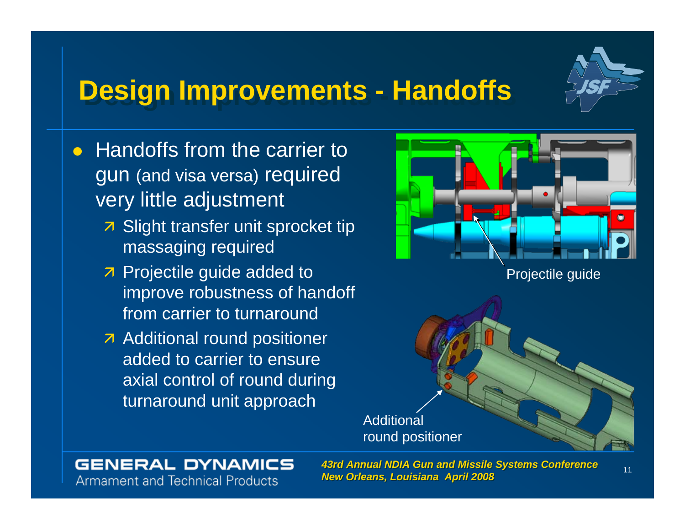

## **Design Improvements - Handoffs Design Improvements - Handoffs**

- $\bullet$  Handoffs from the carrier to gun (and visa versa) required very little adjustment
	- $\overline{\phantom{a}}$  Slight transfer unit sprocket tip massaging required
	- z Projectile guide added to improve robustness of handoff from carrier to turnaround
	- **A** Additional round positioner added to carrier to ensure axial control of round during turnaround unit approach



### **GENERAL DYNAMICS Armament and Technical Products**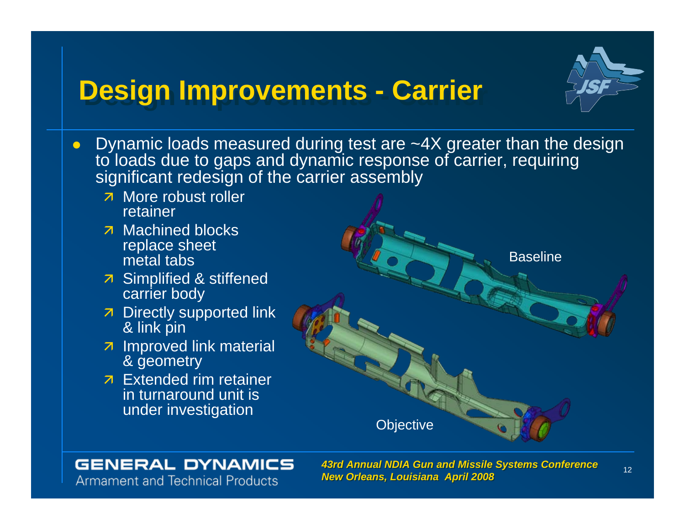## **Design Improvements - Carrier**



- $\overline{z}$  More robust roller retainer
- $\overline{z}$  Machined blocks replace sheet metal tabs
- **7** Simplified & stiffened carrier body
- $\overline{z}$  Directly supported link & link pin
- $\overline{z}$  Improved link material & geometry
- $\overline{z}$  Extended rim retainer in turnaround unit is under investigation



### **GENERAL DYNAMICS Armament and Technical Products**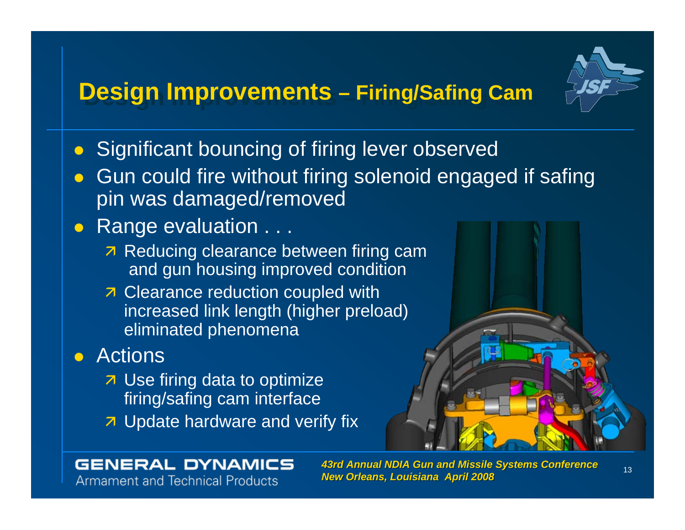## **Design Improvements – Firing/Safing Cam**



- $\bullet$ Significant bouncing of firing lever observed
- $\bullet$  Gun could fire without firing solenoid engaged if safing pin was damaged/removed

### • Range evaluation . . .

- 7 Reducing clearance between firing cam and gun housing improved condition
- $\overline{\phantom{a}}$  Clearance reduction coupled with increased link length (higher preload) eliminated phenomena

## **•** Actions

- $\overline{z}$  Use firing data to optimize firing/safing cam interface
- $\overline{\phantom{a}}$  Update hardware and verify fix



### **GENERAL DYNAMICS Armament and Technical Products**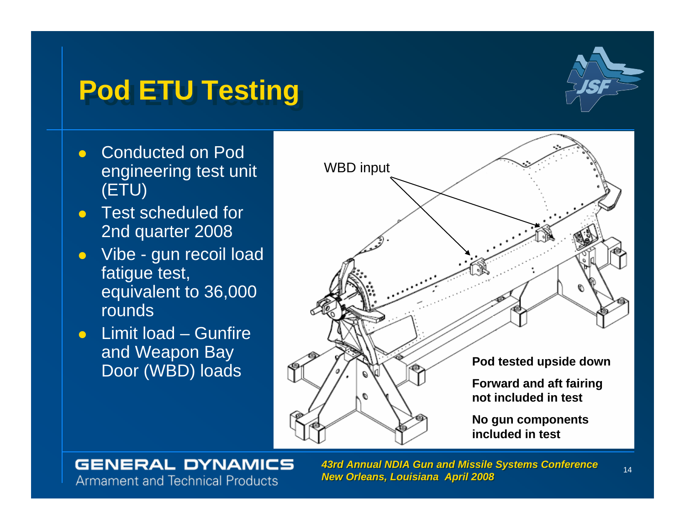## **Pod ETU Testing Pod ETU Testing**



- $\bullet$  Conducted on Pod engineering test unit (ETU)
- $\bullet$  Test scheduled for 2nd quarter 2008
- $\bullet$  Vibe - gun recoil load fatigue test, equivalent to 36,000 rounds
- $\bullet$  Limit load – Gunfire and Weapon Bay



### **GENERAL DYNAMICS Armament and Technical Products**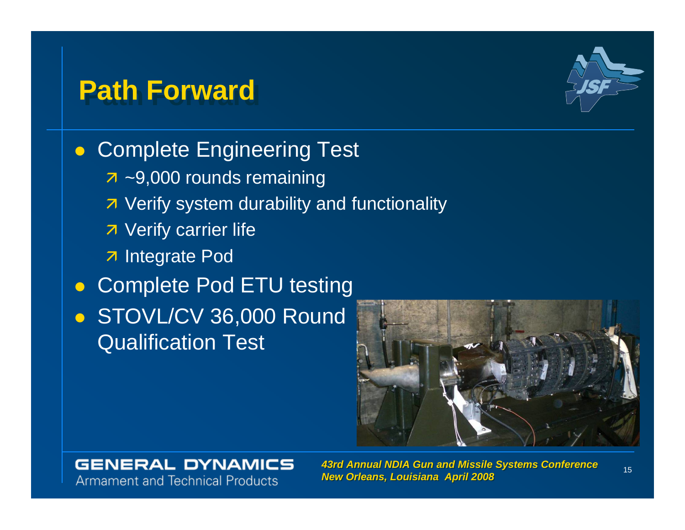## **Path Forward**



**• Complete Engineering Test**  $\overline{z}$  ~9,000 rounds remaining **7** Verify system durability and functionality **7** Verify carrier life **7** Integrate Pod  $\bullet$  Complete Pod ETU testing • STOVL/CV 36,000 Round

**Qualification Test** 



### **GENERAL DYNAMICS Armament and Technical Products**